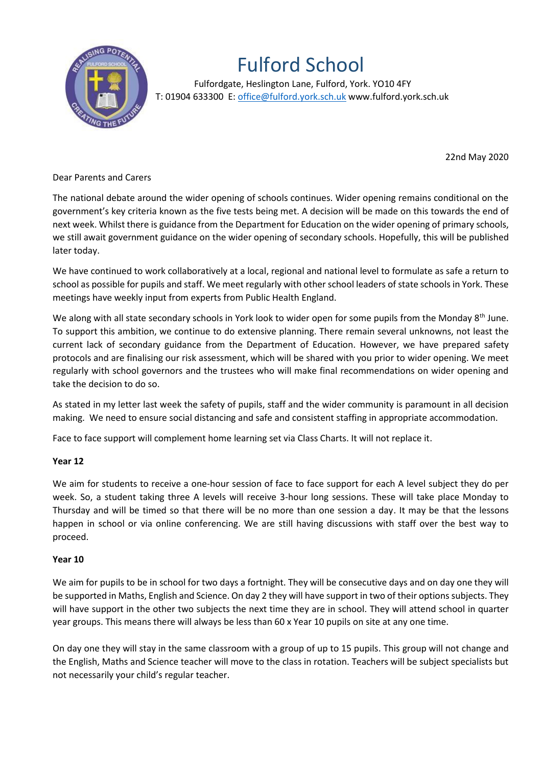

## Fulford School

 Fulfordgate, Heslington Lane, Fulford, York. YO10 4FY T: 01904 633300 E: office@fulford.york.sch.uk www.fulford.york.sch.uk

22nd May 2020

Dear Parents and Carers

The national debate around the wider opening of schools continues. Wider opening remains conditional on the government's key criteria known as the five tests being met. A decision will be made on this towards the end of next week. Whilst there is guidance from the Department for Education on the wider opening of primary schools, we still await government guidance on the wider opening of secondary schools. Hopefully, this will be published later today.

We have continued to work collaboratively at a local, regional and national level to formulate as safe a return to school as possible for pupils and staff. We meet regularly with other school leaders of state schools in York. These meetings have weekly input from experts from Public Health England.

We along with all state secondary schools in York look to wider open for some pupils from the Monday 8<sup>th</sup> June. To support this ambition, we continue to do extensive planning. There remain several unknowns, not least the current lack of secondary guidance from the Department of Education. However, we have prepared safety protocols and are finalising our risk assessment, which will be shared with you prior to wider opening. We meet regularly with school governors and the trustees who will make final recommendations on wider opening and take the decision to do so.

As stated in my letter last week the safety of pupils, staff and the wider community is paramount in all decision making. We need to ensure social distancing and safe and consistent staffing in appropriate accommodation.

Face to face support will complement home learning set via Class Charts. It will not replace it.

## **Year 12**

We aim for students to receive a one-hour session of face to face support for each A level subject they do per week. So, a student taking three A levels will receive 3-hour long sessions. These will take place Monday to Thursday and will be timed so that there will be no more than one session a day. It may be that the lessons happen in school or via online conferencing. We are still having discussions with staff over the best way to proceed.

## **Year 10**

We aim for pupils to be in school for two days a fortnight. They will be consecutive days and on day one they will be supported in Maths, English and Science. On day 2 they will have support in two of their options subjects. They will have support in the other two subjects the next time they are in school. They will attend school in quarter year groups. This means there will always be less than 60 x Year 10 pupils on site at any one time.

On day one they will stay in the same classroom with a group of up to 15 pupils. This group will not change and the English, Maths and Science teacher will move to the class in rotation. Teachers will be subject specialists but not necessarily your child's regular teacher.